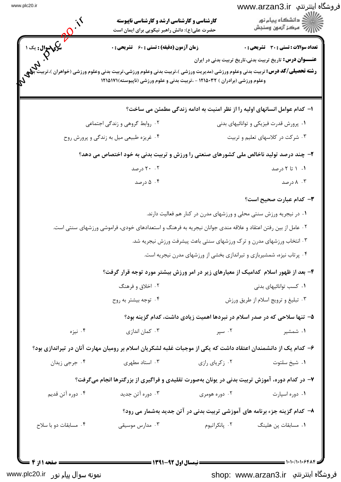|                       | <b>کارشناسی و کارشناسی ارشد و کارشناسی ناپیوسته</b><br>حضرت علی(ع): دانش راهبر نیکویی برای ایمان است                                                                                                                                                                 |                                                                       | فروشگاه اینترنتي  www.arzan3.ir<br>دانشگاه پيام نور $\le$<br>بہ مرڪز آزمون وسنجش                         |  |
|-----------------------|----------------------------------------------------------------------------------------------------------------------------------------------------------------------------------------------------------------------------------------------------------------------|-----------------------------------------------------------------------|----------------------------------------------------------------------------------------------------------|--|
| <b>یکی سوال:</b> یک ۱ | <b>زمان آزمون (دقیقه) : تستی : 60 ٪ تشریحی : 0</b><br><b>رشته تحصیلی/کد درس:</b> تربیت بدنی وعلوم ورزشی (مدیریت ورزشی )،تربیت بدنی وعلوم ورزشی،تربیت بدنی وعلوم ورزشی (خواهران )،تر<br>وعلوم ورزشی (برادران ) ۱۲۱۵۰۳۲ - ،تربیت بدنی و علوم ورزشی (ناپیوسته)۱۲۱۵۱۷۱ ( |                                                                       | تعداد سوالات : تستى : 30 - تشريحي : 0<br><b>عنـــوان درس:</b> تاریخ تربیت بدنی،تاریخ تربیت بدنی در ایران |  |
|                       |                                                                                                                                                                                                                                                                      |                                                                       | ا– کدام عوامل انسانهای اولیه را از نظر امنیت به ادامه زندگی مطمئن می ساخت؟                               |  |
|                       | ۰۲ روابط گروهی و زندگی اجتماعی                                                                                                                                                                                                                                       |                                                                       | ۰۱ پرورش قدرت فیزیکی و توانائیهای بدنی                                                                   |  |
|                       | ۰۴ غریزه طبیعی میل به زندگی و پرورش روح                                                                                                                                                                                                                              |                                                                       | ۰۳ شرکت در کلاسهای تعلیم و تربیت                                                                         |  |
|                       | ۲- چند درصد تولید ناخالص ملی کشورهای صنعتی را ورزش و تربیت بدنی به خود اختصاص می دهد؟                                                                                                                                                                                |                                                                       |                                                                                                          |  |
|                       | ۲۰ ۲۰ درصد                                                                                                                                                                                                                                                           |                                                                       | ۰۱ ۱ تا ۲ درصد                                                                                           |  |
|                       | ۰۴ درصد                                                                                                                                                                                                                                                              |                                                                       | ۸۰۳ درصد                                                                                                 |  |
|                       |                                                                                                                                                                                                                                                                      |                                                                       | <b>٣</b> – كدام عبارت صحيح است؟                                                                          |  |
|                       |                                                                                                                                                                                                                                                                      | ۰۱ در نیجریه ورزش سنتی محلی و ورزشهای مدرن در کنار هم فعالیت دارند.   |                                                                                                          |  |
|                       | ۰۲ عامل از بین رفتن اعتقاد و علاقه مندی جوانان نیجریه به فرهنگ و استعدادهای خودی، فراموشی ورزشهای سنتی است.                                                                                                                                                          |                                                                       |                                                                                                          |  |
|                       |                                                                                                                                                                                                                                                                      | ۰۳ انتخاب ورزشهای مدرن و ترک ورزشهای سنتی باعث پیشرفت ورزش نیجریه شد. |                                                                                                          |  |
|                       |                                                                                                                                                                                                                                                                      | ۰۴ پرتاب نیزه، شمشیربازی و تیراندازی بخشی از ورزشهای مدرن نیجریه است. |                                                                                                          |  |
|                       | ۴- بعد از ظهور اسلام کدامیک از معیارهای زیر در امر ورزش بیشتر مورد توجه قرار گرفت؟                                                                                                                                                                                   |                                                                       |                                                                                                          |  |
|                       | ۰۲ اخلاق و فرهنگ                                                                                                                                                                                                                                                     |                                                                       | ۰۱ کسب توانائیهای بدنی                                                                                   |  |
|                       | ۰۴ توجه بیشتر به روح                                                                                                                                                                                                                                                 | ۰۳ تبلیغ و ترویج اسلام از طریق ورزش                                   |                                                                                                          |  |
|                       |                                                                                                                                                                                                                                                                      |                                                                       | ۵– تنها سلاحی که در صدر اسلام در نبردها اهمیت زیادی داشت، کدام گزینه بود؟                                |  |
| ۰۴ نیزه               | ۰۳ کمان اندازی                                                                                                                                                                                                                                                       | ۰۲ سپر                                                                | ۰۱ شمشیر                                                                                                 |  |
|                       | ۶– کدام یک از دانشمندان اعتقاد داشت که یکی از موجبات غلبه لشکریان اسلام بر رومیان مهارت آنان در تیراندازی بود؟                                                                                                                                                       |                                                                       |                                                                                                          |  |
| ۰۴ جرجي زيدان         | ۰۳ استاد مطهری                                                                                                                                                                                                                                                       | ۰۲ زکریای رازی                                                        | ۰۱ شیخ سلتوت                                                                                             |  |
|                       | ۷- در کدام دوره، آموزش تربیت بدنی در یونان بهصورت تقلیدی و فراگیری از بزرگترها انجام میگرفت؟                                                                                                                                                                         |                                                                       |                                                                                                          |  |
| ۰۴ دوره آتن قدیم      | ۰۳ دوره آتن جدید                                                                                                                                                                                                                                                     | ۰۲ دوره هومری                                                         | ۰۱ دوره اسپارت                                                                                           |  |
|                       |                                                                                                                                                                                                                                                                      |                                                                       | ۸– کدام گزینه جزء برنامه های آموزشی تربیت بدنی در آتن جدید بهشمار می رود؟                                |  |
| ۰۴ مسابقات دو با سلاح | ۰۳ مدارس موسیقی                                                                                                                                                                                                                                                      | ۰۲ پانکراتیوم                                                         | ۰۱ مسابقات پن هلینگ                                                                                      |  |
|                       |                                                                                                                                                                                                                                                                      |                                                                       |                                                                                                          |  |
|                       |                                                                                                                                                                                                                                                                      |                                                                       |                                                                                                          |  |

shop: www.arzan3.ir فروشگاه اینترنتي

نمونه سوال پیا<sub>م</sub> نور www.plc20.ir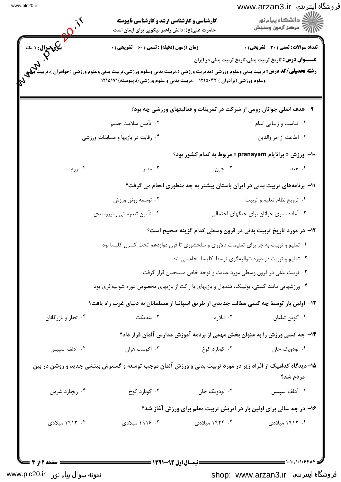IT CONTINUES OF THE POST OF فروشگاه اینترنتپ www.arzan3.ir <u> ع</u>مالان<br>کالان دانشگاه پیام نور کارشناسی و کارشناسی ارشد و کارشناسی ناپیوسته ازارات مرکز آزمون وسنجش حضرت علی(ع): دانش راهبر نیکویی برای ایمان است **تعداد سوالات : تستي : 30 ٪ تشريحي : 0 زمان آزمون (دقیقه) : تستی : 60 گشریحی: 0 عنـــوان درس:** تاریخ تربیت بدنی،تاریخ تربیت بدنی در ایران **رشته تحصیلی/کد درس:** تربیت بدنی وعلوم ورزشی (مدیریت ورزشی )،تربیت بدنی وعلوم ورزشی،تربیت بدنی وعلوم ورزشی (خواهران )، وعلوم ورزشی (برادران ) ۱۲۱۵۰۳۲ - ،تربیت بدنی و علوم ورزشی (ناپیوسته)۱۲۱۵۱۷۱ ۹- هدف اصلی جوانان رومی از شرکت در تمرینات و فعالیتهای ورزشی چه بود؟ ٢. تأمين سلامت جسم ٠١. تناسب و زيبايي اندام ۰۳ اطاعت از امر والدين ۰۴ رقابت در بازیها و مسابقات ورزشی ۱۰- ورزش « پرانایام pranayam » مربوط به کدام کشور بود؟ ۰۳ مصر ۰۴ روم ۰۲ چېن ۰۱ هند 11- برنامههای تربیت بدنی در ایران باستان بیشتر به چه منظوری انجام می گرفت؟ ۰۲ توسعه رونق ورزش ٠١ ترويج نظام تعليم وتربيت ۰۴ تأمین تندرستی و نیرومندی ۰۳ آماده سازی جوانان برای جنگهای احتمالی **۱۲**- در مورد تاریخ تربیت بدنی در قرون وسطی کدام گزینه صحیح است؟ ۰۱ تعلیم و تربیت به جز برای تعلیمات دلاوری و سلحشوری تا قرن دوازدهم تحت کنترل کلیسا بود ۰۲ تعلیم و تربیت در دوره شوالیهگری توسط کلیسا انجام می شد ۰۳ تربیت بدنی در قرون وسطی مورد عنایت و توجه خاص مسیحیان قرار گرفت ۰۴ ورزشهایی مانند کشتی، بولینگ، هندبال و بازیهای با راکت از بازیهای مخصوص دوره شوالیهگری بود ۱۳- اولین بار توسط چه کسی مطالب جدیدی از طریق اسپانیا از مسلمانان به دنیای غرب راه یافت؟ ۰۳ نندیکت  $5.11.7$ ۰۴ تجار و بازرگانان ۰۱ کوین تیلیان ۱۴- چه کسی ورزش را به عنوان بخش مهمی از برنامه آموزش مدارس آلمان قرار داد؟ ۰۴ آدلف اسپیس ۰۳ اگوست هران ۰۲ کونا, د کوخ ۰۱ لودویک جان ۱۵–دیدگاه کدامیک از افراد زیر در مورد تربیت بدنی و ورزش آلمان موجب توسعه و گسترش بینشی جدید و روشن در بین مردم شد؟ ۰۴ ریچارد شرمن ۰۳ کونا, د کوخ ۰۲ لودویک جان ٠١. آدلف اسييس ۱۶- در چه سالی برای اولین بار در اتریش تربیت معلم برای ورزش آغاز شد؟ ۴. ۱۹۱۶ میلادی ۲. ۱۹۲۴ میلادی ۰۴ ۱۹۱۳ میلادی ۱. ۱۹۱۲ میلادی صفحه 12; 4 = **: نیمسال اول 92-1391 =** 

نمونه سوال پیام نور www.plc20.ir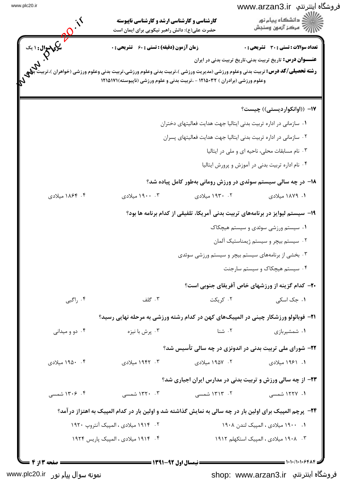| فروشگاه اینترنتي  www.arzan3.ir<br>دانشگاه پيام نور $\le$<br>رِ ۖ مرڪز آزمون وسنڊش |                                                                                | <b>کارشناسی و کارشناسی ارشد و کارشناسی ناپیوسته</b><br>حضرت علی(ع): دانش راهبر نیکویی برای ایمان است                                                                                                         |                             |
|------------------------------------------------------------------------------------|--------------------------------------------------------------------------------|--------------------------------------------------------------------------------------------------------------------------------------------------------------------------------------------------------------|-----------------------------|
| <b>تعداد سوالات : تستی : 30 ٪ تشریحی : 0</b>                                       |                                                                                | <b>زمان آزمون (دقیقه) : تستی : 60 ٪ تشریحی : 0</b>                                                                                                                                                           | <b>یکیپسوال :</b> ۱ یک<br>م |
| <b>عنـــوان درس:</b> تاریخ تربیت بدنی،تاریخ تربیت بدنی در ایران                    |                                                                                | <b>رشته تحصیلی/کد درس:</b> تربیت بدنی وعلوم ورزشی (مدیریت ورزشی )،تربیت بدنی وعلوم ورزشی،تربیت بدنی وعلوم ورزشی (خواهران )،تر<br>وعلوم ورزشی (برادران ) ۱۲۱۵۰۳۲ - ،تربیت بدنی و علوم ورزشی (ناپیوسته)۱۲۱۵۱۷۱ |                             |
| ۱۷– ((اوانکواردیستی)) چیست؟                                                        |                                                                                |                                                                                                                                                                                                              |                             |
|                                                                                    | ۰۱ سازمانی در اداره تربیت بدنی ایتالیا جهت هدایت فعالیتهای دختران              |                                                                                                                                                                                                              |                             |
| ۰۳ نام مسابقات محلی، ناحیه ای و ملی در ایتالیا                                     | ۰۲ سازمانی در اداره تربیت بدنی ایتالیا جهت هدایت فعالیتهای پسران               |                                                                                                                                                                                                              |                             |
| ۰۴ نام اداره تربیت بدنی در آموزش و پرورش ایتالیا                                   |                                                                                |                                                                                                                                                                                                              |                             |
|                                                                                    |                                                                                |                                                                                                                                                                                                              |                             |
|                                                                                    | ۱۸– در چه سالی سیستم سوئدی در ورزش رومانی بهطور کامل پیاده شد؟                 | ۰۳ ۱۹۰۰ میلادی                                                                                                                                                                                               |                             |
| ۱. ۱۸۷۹ میلادی                                                                     | ۰۲ ۱۹۳۰ میلادی                                                                 |                                                                                                                                                                                                              | ۰۴ ۱۸۶۴ میلادی              |
|                                                                                    | ۱۹- سیستم لیوایز در برنامههای تربیت بدنی آمریکا، تلفیقی از کدام برنامه ها بود؟ |                                                                                                                                                                                                              |                             |
| ۰۱ سیستم ورزشی سوئدی و سیستم هیچکاک                                                |                                                                                |                                                                                                                                                                                                              |                             |
| ۰۲ سیستم بیچر و سیستم ژیمناستیک آلمان                                              | ۰۳ بخشی از برنامههای سیستم بیچر و سیستم ورزشی سوئدی                            |                                                                                                                                                                                                              |                             |
| ۰۴ سیستم هیچکاک و سیستم سارجنت                                                     |                                                                                |                                                                                                                                                                                                              |                             |
|                                                                                    | <b>۴۰</b> - کدام گزینه از ورزشهای خاص آفریقای جنوبی است؟                       |                                                                                                                                                                                                              |                             |
| ۰۱ جک اسکی                                                                         | ۰۲ کریکت                                                                       | ۰۳ گلف                                                                                                                                                                                                       | ۰۴ راگبی                    |
|                                                                                    |                                                                                | <b>۲۱</b> – فوبائولو ورزشکار چینی در المپیکهای کهن در کدام رشته ورزشی به مرحله نهایی رسید؟                                                                                                                   |                             |
| ۰۱ شمشیربازی                                                                       | ۰۲ شنا                                                                         | ۰۳ پرش با نیزه                                                                                                                                                                                               | ۰۴ دو و میدانی              |
|                                                                                    | ۲۲- شورای ملی تربیت بدنی در اندونزی در چه سالی تأسیس شد؟                       |                                                                                                                                                                                                              |                             |
| ۱. ۱۹۶۱ میلادی                                                                     | ۰۲ ۱۹۵۷ میلادی                                                                 | ۰۳ - ۱۹۴۲ میلادی                                                                                                                                                                                             | ۰۴ ۱۹۵۰ میلادی              |
|                                                                                    | <b>۲۳</b> - از چه سالی ورزش و تربیت بدنی در مدارس ایران اجباری شد؟             |                                                                                                                                                                                                              |                             |
| ۰۱ ۱۲۲۷ شمسی                                                                       | ۲. ۱۳۱۳ شمسی                                                                   | ۰۳ - ۱۳۲۰ شمسی                                                                                                                                                                                               | ۰۴ ۱۳۰۶ شمسی                |
|                                                                                    |                                                                                | <b>۲۴</b> - پرچم المپیک برای اولین بار در چه سالی به نمایش گذاشته شد و اولین بار در کدام المپیک به اهتزاز درآمد؟                                                                                             |                             |
| ۰۱ ۱۹۰۰ میلادی ، المپیک لندن ۱۹۰۸                                                  |                                                                                | ۲. ۱۹۱۴ میلادی ، المپیک آنتروپ ۱۹۲۰                                                                                                                                                                          |                             |
| ۰۳ ـ ۱۹۰۸ میلادی ، المپیک استکهلم ۱۹۱۲                                             |                                                                                | ۰۴ ۱۹۱۴ میلادی ، المپیک پاریس ۱۹۲۴                                                                                                                                                                           |                             |

نمونه سوال پیام نور www.plc20.ir